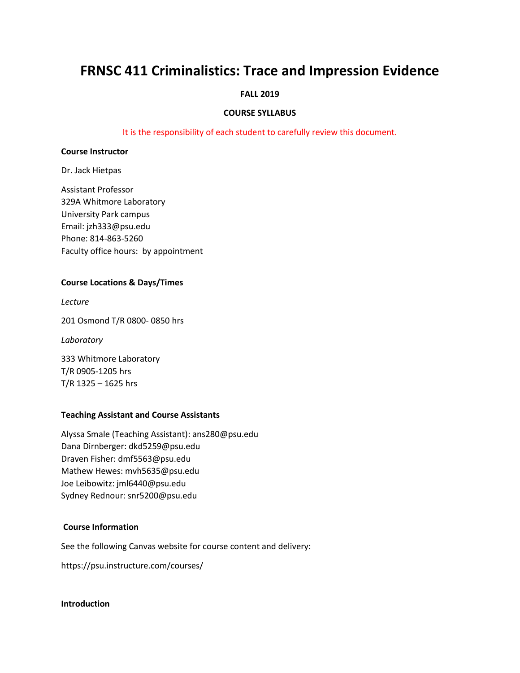# **FRNSC 411 Criminalistics: Trace and Impression Evidence**

# **FALL 2019**

# **COURSE SYLLABUS**

It is the responsibility of each student to carefully review this document.

#### **Course Instructor**

Dr. Jack Hietpas

Assistant Professor 329A Whitmore Laboratory University Park campus Email: jzh333@psu.edu Phone: 814-863-5260 Faculty office hours: by appointment

# **Course Locations & Days/Times**

*Lecture* 

201 Osmond T/R 0800- 0850 hrs

*Laboratory* 

333 Whitmore Laboratory T/R 0905-1205 hrs T/R 1325 – 1625 hrs

# **Teaching Assistant and Course Assistants**

Alyssa Smale (Teaching Assistant): ans280@psu.edu Dana Dirnberger: dkd5259@psu.edu Draven Fisher: dmf5563@psu.edu Mathew Hewes: mvh5635@psu.edu Joe Leibowitz: jml6440@psu.edu Sydney Rednour: snr5200@psu.edu

#### **Course Information**

See the following Canvas website for course content and delivery:

https://psu.instructure.com/courses/

# **Introduction**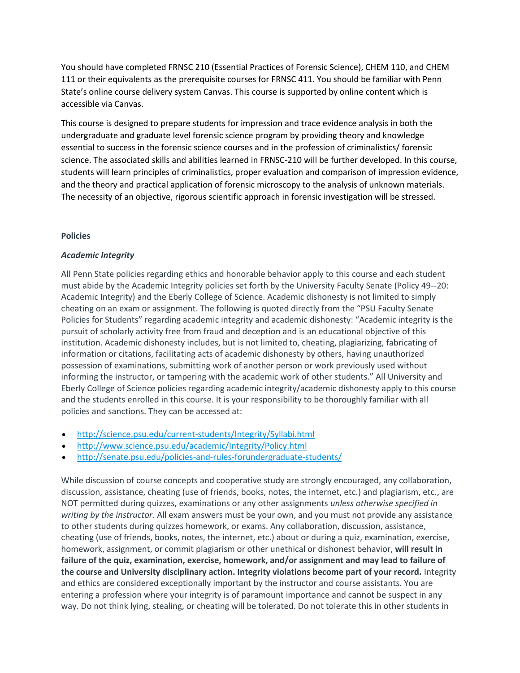You should have completed FRNSC 210 (Essential Practices of Forensic Science), CHEM 110, and CHEM 111 or their equivalents as the prerequisite courses for FRNSC 411. You should be familiar with Penn State's online course delivery system Canvas. This course is supported by online content which is accessible via Canvas.

This course is designed to prepare students for impression and trace evidence analysis in both the undergraduate and graduate level forensic science program by providing theory and knowledge essential to success in the forensic science courses and in the profession of criminalistics/ forensic science. The associated skills and abilities learned in FRNSC-210 will be further developed. In this course, students will learn principles of criminalistics, proper evaluation and comparison of impression evidence, and the theory and practical application of forensic microscopy to the analysis of unknown materials. The necessity of an objective, rigorous scientific approach in forensic investigation will be stressed.

# **Policies**

# *Academic Integrity*

All Penn State policies regarding ethics and honorable behavior apply to this course and each student must abide by the Academic Integrity policies set forth by the University Faculty Senate (Policy 49-‐20: Academic Integrity) and the Eberly College of Science. Academic dishonesty is not limited to simply cheating on an exam or assignment. The following is quoted directly from the "PSU Faculty Senate Policies for Students" regarding academic integrity and academic dishonesty: "Academic integrity is the pursuit of scholarly activity free from fraud and deception and is an educational objective of this institution. Academic dishonesty includes, but is not limited to, cheating, plagiarizing, fabricating of information or citations, facilitating acts of academic dishonesty by others, having unauthorized possession of examinations, submitting work of another person or work previously used without informing the instructor, or tampering with the academic work of other students." All University and Eberly College of Science policies regarding academic integrity/academic dishonesty apply to this course and the students enrolled in this course. It is your responsibility to be thoroughly familiar with all policies and sanctions. They can be accessed at:

- <http://science.psu.edu/current-students/Integrity/Syllabi.html>
- <http://www.science.psu.edu/academic/Integrity/Policy.html>
- <http://senate.psu.edu/policies-and-rules-forundergraduate-students/>

While discussion of course concepts and cooperative study are strongly encouraged, any collaboration, discussion, assistance, cheating (use of friends, books, notes, the internet, etc.) and plagiarism, etc., are NOT permitted during quizzes, examinations or any other assignments *unless otherwise specified in writing by the instructor.* All exam answers must be your own, and you must not provide any assistance to other students during quizzes homework, or exams. Any collaboration, discussion, assistance, cheating (use of friends, books, notes, the internet, etc.) about or during a quiz, examination, exercise, homework, assignment, or commit plagiarism or other unethical or dishonest behavior, **will result in failure of the quiz, examination, exercise, homework, and/or assignment and may lead to failure of the course and University disciplinary action. Integrity violations become part of your record.** Integrity and ethics are considered exceptionally important by the instructor and course assistants. You are entering a profession where your integrity is of paramount importance and cannot be suspect in any way. Do not think lying, stealing, or cheating will be tolerated. Do not tolerate this in other students in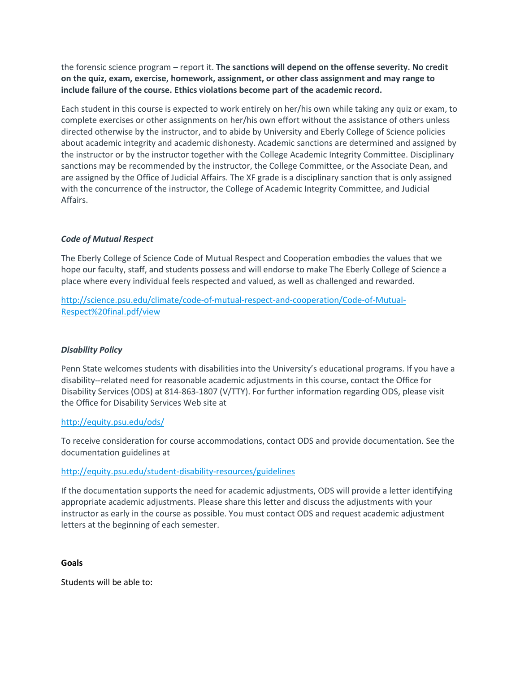the forensic science program – report it. **The sanctions will depend on the offense severity. No credit on the quiz, exam, exercise, homework, assignment, or other class assignment and may range to include failure of the course. Ethics violations become part of the academic record.**

Each student in this course is expected to work entirely on her/his own while taking any quiz or exam, to complete exercises or other assignments on her/his own effort without the assistance of others unless directed otherwise by the instructor, and to abide by University and Eberly College of Science policies about academic integrity and academic dishonesty. Academic sanctions are determined and assigned by the instructor or by the instructor together with the College Academic Integrity Committee. Disciplinary sanctions may be recommended by the instructor, the College Committee, or the Associate Dean, and are assigned by the Office of Judicial Affairs. The XF grade is a disciplinary sanction that is only assigned with the concurrence of the instructor, the College of Academic Integrity Committee, and Judicial Affairs.

# *Code of Mutual Respect*

The Eberly College of Science Code of Mutual Respect and Cooperation embodies the values that we hope our faculty, staff, and students possess and will endorse to make The Eberly College of Science a place where every individual feels respected and valued, as well as challenged and rewarded.

[http://science.psu.edu/climate/code-of-mutual-respect-and-cooperation/Code-of-Mutual-](http://science.psu.edu/climate/code-of-mutual-respect-and-cooperation/Code-of-Mutual-Respect%20final.pdf/view)[Respect%20final.pdf/view](http://science.psu.edu/climate/code-of-mutual-respect-and-cooperation/Code-of-Mutual-Respect%20final.pdf/view)

# *Disability Policy*

Penn State welcomes students with disabilities into the University's educational programs. If you have a disability-‐related need for reasonable academic adjustments in this course, contact the Office for Disability Services (ODS) at 814-863-1807 (V/TTY). For further information regarding ODS, please visit the Office for Disability Services Web site at

# <http://equity.psu.edu/ods/>

To receive consideration for course accommodations, contact ODS and provide documentation. See the documentation guidelines at

# <http://equity.psu.edu/student-disability-resources/guidelines>

If the documentation supports the need for academic adjustments, ODS will provide a letter identifying appropriate academic adjustments. Please share this letter and discuss the adjustments with your instructor as early in the course as possible. You must contact ODS and request academic adjustment letters at the beginning of each semester.

# **Goals**

Students will be able to: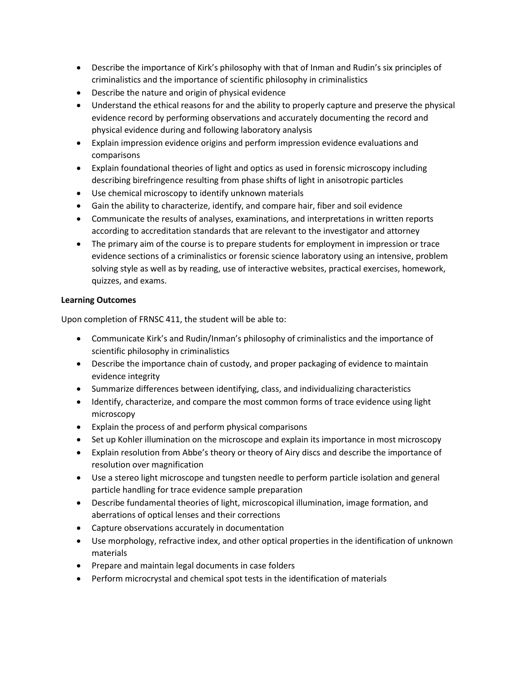- Describe the importance of Kirk's philosophy with that of Inman and Rudin's six principles of criminalistics and the importance of scientific philosophy in criminalistics
- Describe the nature and origin of physical evidence
- Understand the ethical reasons for and the ability to properly capture and preserve the physical evidence record by performing observations and accurately documenting the record and physical evidence during and following laboratory analysis
- Explain impression evidence origins and perform impression evidence evaluations and comparisons
- Explain foundational theories of light and optics as used in forensic microscopy including describing birefringence resulting from phase shifts of light in anisotropic particles
- Use chemical microscopy to identify unknown materials
- Gain the ability to characterize, identify, and compare hair, fiber and soil evidence
- Communicate the results of analyses, examinations, and interpretations in written reports according to accreditation standards that are relevant to the investigator and attorney
- The primary aim of the course is to prepare students for employment in impression or trace evidence sections of a criminalistics or forensic science laboratory using an intensive, problem solving style as well as by reading, use of interactive websites, practical exercises, homework, quizzes, and exams.

# **Learning Outcomes**

Upon completion of FRNSC 411, the student will be able to:

- Communicate Kirk's and Rudin/Inman's philosophy of criminalistics and the importance of scientific philosophy in criminalistics
- Describe the importance chain of custody, and proper packaging of evidence to maintain evidence integrity
- Summarize differences between identifying, class, and individualizing characteristics
- Identify, characterize, and compare the most common forms of trace evidence using light microscopy
- Explain the process of and perform physical comparisons
- Set up Kohler illumination on the microscope and explain its importance in most microscopy
- Explain resolution from Abbe's theory or theory of Airy discs and describe the importance of resolution over magnification
- Use a stereo light microscope and tungsten needle to perform particle isolation and general particle handling for trace evidence sample preparation
- Describe fundamental theories of light, microscopical illumination, image formation, and aberrations of optical lenses and their corrections
- Capture observations accurately in documentation
- Use morphology, refractive index, and other optical properties in the identification of unknown materials
- Prepare and maintain legal documents in case folders
- Perform microcrystal and chemical spot tests in the identification of materials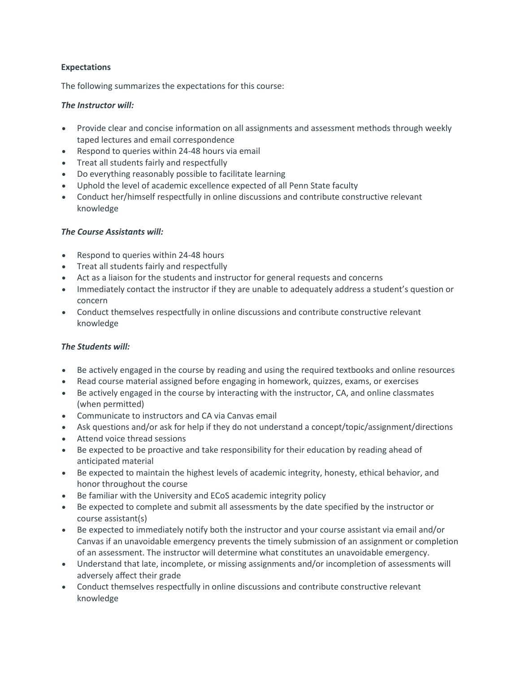# **Expectations**

The following summarizes the expectations for this course:

# *The Instructor will:*

- Provide clear and concise information on all assignments and assessment methods through weekly taped lectures and email correspondence
- Respond to queries within 24-48 hours via email
- Treat all students fairly and respectfully
- Do everything reasonably possible to facilitate learning
- Uphold the level of academic excellence expected of all Penn State faculty
- Conduct her/himself respectfully in online discussions and contribute constructive relevant knowledge

# *The Course Assistants will:*

- Respond to queries within 24-48 hours
- Treat all students fairly and respectfully
- Act as a liaison for the students and instructor for general requests and concerns
- Immediately contact the instructor if they are unable to adequately address a student's question or concern
- Conduct themselves respectfully in online discussions and contribute constructive relevant knowledge

# *The Students will:*

- Be actively engaged in the course by reading and using the required textbooks and online resources
- Read course material assigned before engaging in homework, quizzes, exams, or exercises
- Be actively engaged in the course by interacting with the instructor, CA, and online classmates (when permitted)
- Communicate to instructors and CA via Canvas email
- Ask questions and/or ask for help if they do not understand a concept/topic/assignment/directions
- Attend voice thread sessions
- Be expected to be proactive and take responsibility for their education by reading ahead of anticipated material
- Be expected to maintain the highest levels of academic integrity, honesty, ethical behavior, and honor throughout the course
- Be familiar with the University and ECoS academic integrity policy
- Be expected to complete and submit all assessments by the date specified by the instructor or course assistant(s)
- Be expected to immediately notify both the instructor and your course assistant via email and/or Canvas if an unavoidable emergency prevents the timely submission of an assignment or completion of an assessment. The instructor will determine what constitutes an unavoidable emergency.
- Understand that late, incomplete, or missing assignments and/or incompletion of assessments will adversely affect their grade
- Conduct themselves respectfully in online discussions and contribute constructive relevant knowledge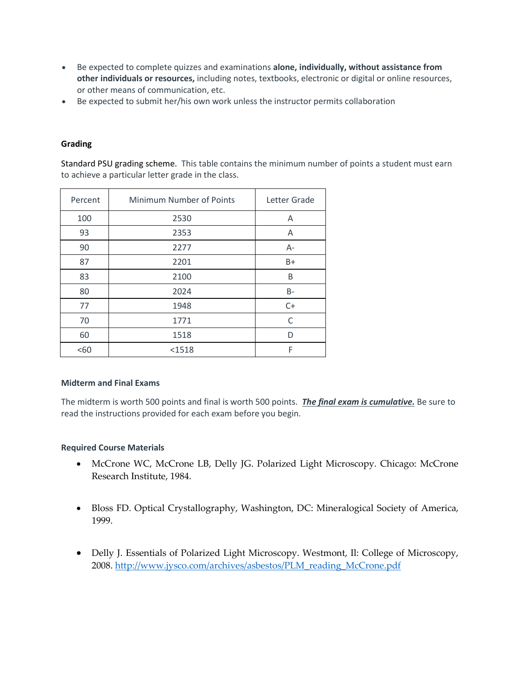- Be expected to complete quizzes and examinations **alone, individually, without assistance from other individuals or resources,** including notes, textbooks, electronic or digital or online resources, or other means of communication, etc.
- Be expected to submit her/his own work unless the instructor permits collaboration

# **Grading**

Standard PSU grading scheme. This table contains the minimum number of points a student must earn to achieve a particular letter grade in the class.

| Percent | Minimum Number of Points | Letter Grade |
|---------|--------------------------|--------------|
| 100     | 2530                     | A            |
| 93      | 2353                     | A            |
| 90      | 2277                     | $A -$        |
| 87      | 2201                     | $B+$         |
| 83      | 2100                     | B            |
| 80      | 2024                     | $B -$        |
| 77      | 1948                     | $C+$         |
| 70      | 1771                     | C            |
| 60      | 1518                     | D            |
| <60     | <1518                    | F            |

# **Midterm and Final Exams**

The midterm is worth 500 points and final is worth 500 points. *The final exam is cumulative.* Be sure to read the instructions provided for each exam before you begin.

# **Required Course Materials**

- McCrone WC, McCrone LB, Delly JG. Polarized Light Microscopy. Chicago: McCrone Research Institute, 1984.
- Bloss FD. Optical Crystallography, Washington, DC: Mineralogical Society of America, 1999.
- Delly J. Essentials of Polarized Light Microscopy. Westmont, Il: College of Microscopy, 2008. [http://www.jysco.com/archives/asbestos/PLM\\_reading\\_McCrone.pdf](http://www.jysco.com/archives/asbestos/PLM_reading_McCrone.pdf)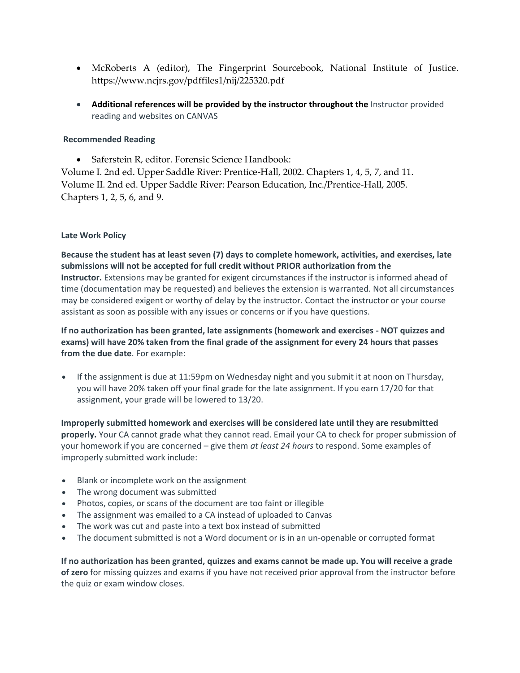- McRoberts A (editor), The Fingerprint Sourcebook, National Institute of Justice. https://www.ncjrs.gov/pdffiles1/nij/225320.pdf
- **Additional references will be provided by the instructor throughout the** Instructor provided reading and websites on CANVAS

# **Recommended Reading**

• Saferstein R, editor. Forensic Science Handbook:

Volume I. 2nd ed. Upper Saddle River: Prentice-Hall, 2002. Chapters 1, 4, 5, 7, and 11. Volume II. 2nd ed. Upper Saddle River: Pearson Education, Inc./Prentice-Hall, 2005. Chapters 1, 2, 5, 6, and 9.

# **Late Work Policy**

**Because the student has at least seven (7) days to complete homework, activities, and exercises, late submissions will not be accepted for full credit without PRIOR authorization from the Instructor.** Extensions may be granted for exigent circumstances if the instructor is informed ahead of time (documentation may be requested) and believes the extension is warranted. Not all circumstances may be considered exigent or worthy of delay by the instructor. Contact the instructor or your course assistant as soon as possible with any issues or concerns or if you have questions.

**If no authorization has been granted, late assignments (homework and exercises - NOT quizzes and exams) will have 20% taken from the final grade of the assignment for every 24 hours that passes from the due date**. For example:

• If the assignment is due at 11:59pm on Wednesday night and you submit it at noon on Thursday, you will have 20% taken off your final grade for the late assignment. If you earn 17/20 for that assignment, your grade will be lowered to 13/20.

**Improperly submitted homework and exercises will be considered late until they are resubmitted properly.** Your CA cannot grade what they cannot read. Email your CA to check for proper submission of your homework if you are concerned – give them *at least 24 hours* to respond. Some examples of improperly submitted work include:

- Blank or incomplete work on the assignment
- The wrong document was submitted
- Photos, copies, or scans of the document are too faint or illegible
- The assignment was emailed to a CA instead of uploaded to Canvas
- The work was cut and paste into a text box instead of submitted
- The document submitted is not a Word document or is in an un-openable or corrupted format

**If no authorization has been granted, quizzes and exams cannot be made up. You will receive a grade of zero** for missing quizzes and exams if you have not received prior approval from the instructor before the quiz or exam window closes.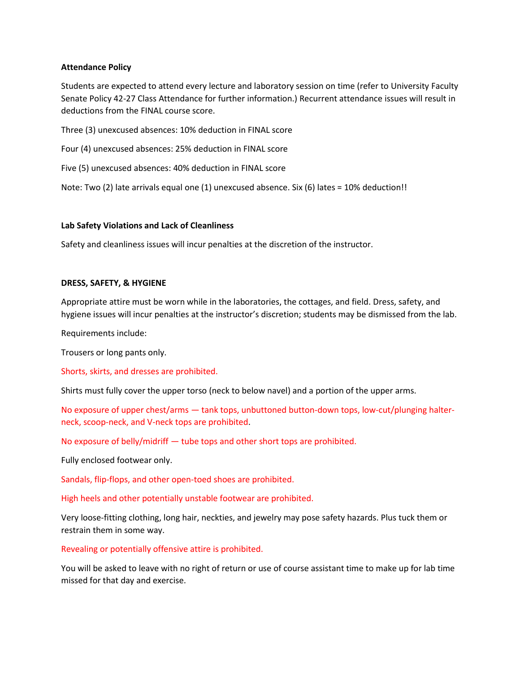#### **Attendance Policy**

Students are expected to attend every lecture and laboratory session on time (refer to University Faculty Senate Policy 42-27 Class Attendance for further information.) Recurrent attendance issues will result in deductions from the FINAL course score.

Three (3) unexcused absences: 10% deduction in FINAL score

Four (4) unexcused absences: 25% deduction in FINAL score

Five (5) unexcused absences: 40% deduction in FINAL score

Note: Two (2) late arrivals equal one (1) unexcused absence. Six (6) lates = 10% deduction!!

#### **Lab Safety Violations and Lack of Cleanliness**

Safety and cleanliness issues will incur penalties at the discretion of the instructor.

#### **DRESS, SAFETY, & HYGIENE**

Appropriate attire must be worn while in the laboratories, the cottages, and field. Dress, safety, and hygiene issues will incur penalties at the instructor's discretion; students may be dismissed from the lab.

Requirements include:

Trousers or long pants only.

Shorts, skirts, and dresses are prohibited.

Shirts must fully cover the upper torso (neck to below navel) and a portion of the upper arms.

No exposure of upper chest/arms — tank tops, unbuttoned button-down tops, low-cut/plunging halterneck, scoop-neck, and V-neck tops are prohibited.

No exposure of belly/midriff — tube tops and other short tops are prohibited.

Fully enclosed footwear only.

Sandals, flip-flops, and other open-toed shoes are prohibited.

High heels and other potentially unstable footwear are prohibited.

Very loose-fitting clothing, long hair, neckties, and jewelry may pose safety hazards. Plus tuck them or restrain them in some way.

Revealing or potentially offensive attire is prohibited.

You will be asked to leave with no right of return or use of course assistant time to make up for lab time missed for that day and exercise.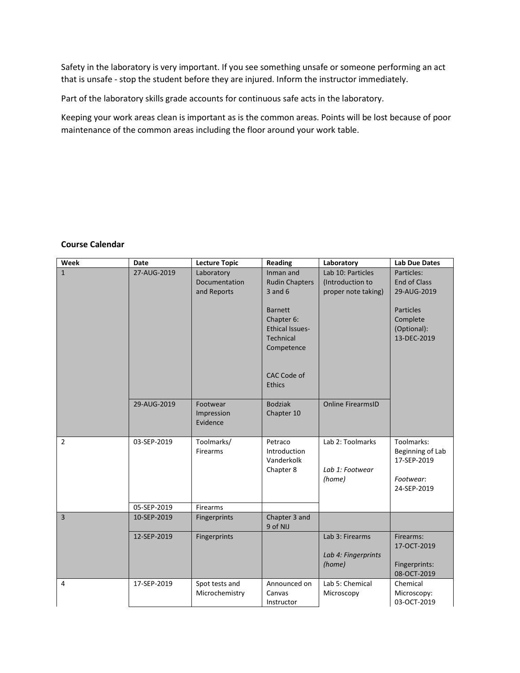Safety in the laboratory is very important. If you see something unsafe or someone performing an act that is unsafe - stop the student before they are injured. Inform the instructor immediately.

Part of the laboratory skills grade accounts for continuous safe acts in the laboratory.

Keeping your work areas clean is important as is the common areas. Points will be lost because of poor maintenance of the common areas including the floor around your work table.

#### **Course Calendar**

| Week           | <b>Date</b> | <b>Lecture Topic</b>                       | Reading                                                                                  | Laboratory                                                   | <b>Lab Due Dates</b>                                                      |
|----------------|-------------|--------------------------------------------|------------------------------------------------------------------------------------------|--------------------------------------------------------------|---------------------------------------------------------------------------|
| $\mathbf{1}$   | 27-AUG-2019 | Laboratory<br>Documentation<br>and Reports | Inman and<br><b>Rudin Chapters</b><br>$3$ and $6$                                        | Lab 10: Particles<br>(Introduction to<br>proper note taking) | Particles:<br><b>End of Class</b><br>29-AUG-2019                          |
|                |             |                                            | <b>Barnett</b><br>Chapter 6:<br><b>Ethical Issues-</b><br><b>Technical</b><br>Competence |                                                              | Particles<br>Complete<br>(Optional):<br>13-DEC-2019                       |
|                |             |                                            | <b>CAC Code of</b><br><b>Ethics</b>                                                      |                                                              |                                                                           |
|                | 29-AUG-2019 | Footwear<br>Impression<br>Evidence         | <b>Bodziak</b><br>Chapter 10                                                             | <b>Online FirearmsID</b>                                     |                                                                           |
| $\overline{2}$ | 03-SEP-2019 | Toolmarks/<br>Firearms                     | Petraco<br>Introduction<br>Vanderkolk<br>Chapter 8                                       | Lab 2: Toolmarks<br>Lab 1: Footwear<br>(home)                | Toolmarks:<br>Beginning of Lab<br>17-SEP-2019<br>Footwear:<br>24-SEP-2019 |
|                | 05-SEP-2019 | Firearms                                   |                                                                                          |                                                              |                                                                           |
| $\overline{3}$ | 10-SEP-2019 | Fingerprints                               | Chapter 3 and<br>9 of NIJ                                                                |                                                              |                                                                           |
|                | 12-SEP-2019 | Fingerprints                               |                                                                                          | Lab 3: Firearms<br>Lab 4: Fingerprints<br>(home)             | Firearms:<br>17-OCT-2019<br>Fingerprints:<br>08-OCT-2019                  |
| 4              | 17-SEP-2019 | Spot tests and<br>Microchemistry           | Announced on<br>Canvas<br>Instructor                                                     | Lab 5: Chemical<br>Microscopy                                | Chemical<br>Microscopy:<br>03-OCT-2019                                    |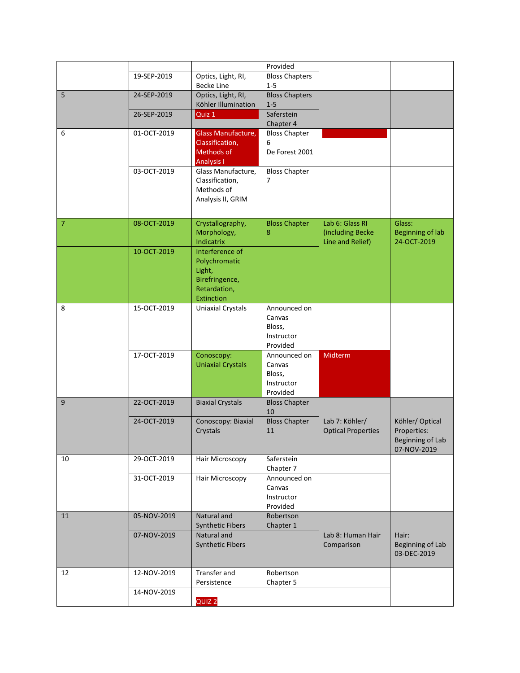|                |             |                                                                                            | Provided                                                   |                                                         |                                                                   |
|----------------|-------------|--------------------------------------------------------------------------------------------|------------------------------------------------------------|---------------------------------------------------------|-------------------------------------------------------------------|
|                | 19-SEP-2019 | Optics, Light, RI,<br><b>Becke Line</b>                                                    | <b>Bloss Chapters</b><br>$1 - 5$                           |                                                         |                                                                   |
| 5              | 24-SEP-2019 | Optics, Light, RI,<br>Köhler Illumination                                                  | <b>Bloss Chapters</b><br>$1-5$                             |                                                         |                                                                   |
|                | 26-SEP-2019 | Quiz 1                                                                                     | Saferstein<br>Chapter 4                                    |                                                         |                                                                   |
| 6              | 01-OCT-2019 | Glass Manufacture,<br>Classification,<br>Methods of<br><b>Analysis I</b>                   | <b>Bloss Chapter</b><br>6<br>De Forest 2001                |                                                         |                                                                   |
|                | 03-OCT-2019 | Glass Manufacture,<br>Classification,<br>Methods of<br>Analysis II, GRIM                   | <b>Bloss Chapter</b><br>7                                  |                                                         |                                                                   |
| $\overline{7}$ | 08-OCT-2019 | Crystallography,<br>Morphology,<br><b>Indicatrix</b>                                       | <b>Bloss Chapter</b><br>8                                  | Lab 6: Glass RI<br>(including Becke<br>Line and Relief) | Glass:<br><b>Beginning of lab</b><br>24-OCT-2019                  |
|                | 10-OCT-2019 | Interference of<br>Polychromatic<br>Light,<br>Birefringence,<br>Retardation,<br>Extinction |                                                            |                                                         |                                                                   |
| 8              | 15-OCT-2019 | <b>Uniaxial Crystals</b>                                                                   | Announced on<br>Canvas<br>Bloss,<br>Instructor<br>Provided |                                                         |                                                                   |
|                | 17-OCT-2019 | Conoscopy:<br><b>Uniaxial Crystals</b>                                                     | Announced on<br>Canvas<br>Bloss,<br>Instructor<br>Provided | Midterm                                                 |                                                                   |
| 9              | 22-OCT-2019 | <b>Biaxial Crystals</b>                                                                    | <b>Bloss Chapter</b><br>10                                 |                                                         |                                                                   |
|                | 24-OCT-2019 | Conoscopy: Biaxial<br>Crystals                                                             | <b>Bloss Chapter</b><br>11                                 | Lab 7: Köhler/<br><b>Optical Properties</b>             | Köhler/ Optical<br>Properties:<br>Beginning of Lab<br>07-NOV-2019 |
| 10             | 29-OCT-2019 | Hair Microscopy                                                                            | Saferstein<br>Chapter 7                                    |                                                         |                                                                   |
|                | 31-OCT-2019 | Hair Microscopy                                                                            | Announced on<br>Canvas<br>Instructor<br>Provided           |                                                         |                                                                   |
| 11             | 05-NOV-2019 | Natural and<br><b>Synthetic Fibers</b>                                                     | Robertson<br>Chapter 1                                     |                                                         |                                                                   |
|                | 07-NOV-2019 | Natural and<br>Synthetic Fibers                                                            |                                                            | Lab 8: Human Hair<br>Comparison                         | Hair:<br><b>Beginning of Lab</b><br>03-DEC-2019                   |
| 12             | 12-NOV-2019 | Transfer and<br>Persistence                                                                | Robertson<br>Chapter 5                                     |                                                         |                                                                   |
|                | 14-NOV-2019 | QUIZ <sub>2</sub>                                                                          |                                                            |                                                         |                                                                   |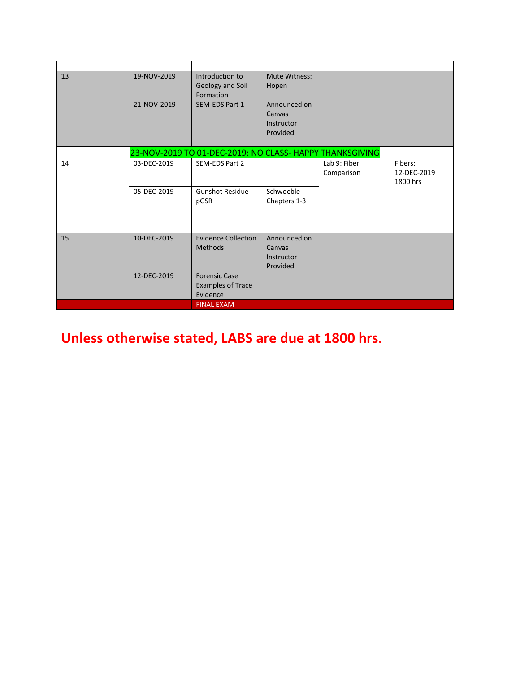| 13 | 19-NOV-2019 | Introduction to<br>Geology and Soil<br>Formation             | Mute Witness:<br>Hopen                           |                            |                                    |
|----|-------------|--------------------------------------------------------------|--------------------------------------------------|----------------------------|------------------------------------|
|    | 21-NOV-2019 | <b>SEM-EDS Part 1</b>                                        | Announced on<br>Canvas<br>Instructor<br>Provided |                            |                                    |
|    |             | 23-NOV-2019 TO 01-DEC-2019: NO CLASS- HAPPY THANKSGIVING     |                                                  |                            |                                    |
| 14 | 03-DEC-2019 | SEM-EDS Part 2                                               |                                                  | Lab 9: Fiber<br>Comparison | Fibers:<br>12-DEC-2019<br>1800 hrs |
|    | 05-DEC-2019 | <b>Gunshot Residue-</b><br>pGSR                              | Schwoeble<br>Chapters 1-3                        |                            |                                    |
| 15 | 10-DEC-2019 | <b>Evidence Collection</b><br>Methods                        | Announced on<br>Canvas<br>Instructor<br>Provided |                            |                                    |
|    | 12-DEC-2019 | <b>Forensic Case</b><br><b>Examples of Trace</b><br>Evidence |                                                  |                            |                                    |
|    |             | <b>FINAL EXAM</b>                                            |                                                  |                            |                                    |

# **Unless otherwise stated, LABS are due at 1800 hrs.**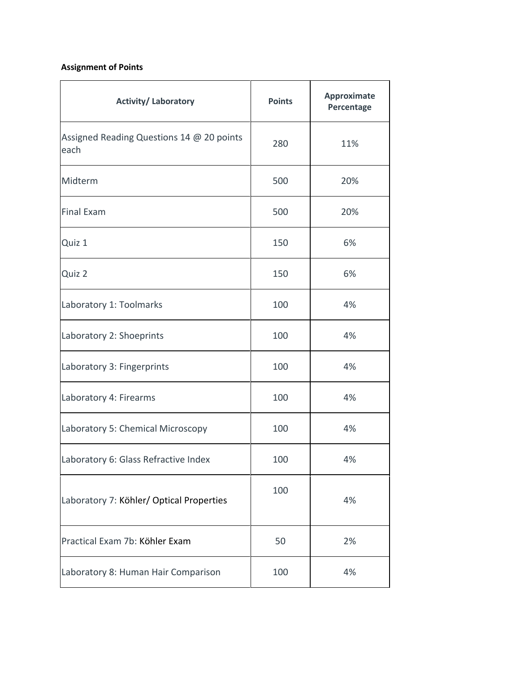# **Assignment of Points**

| <b>Activity/ Laboratory</b>                       | <b>Points</b> | Approximate<br>Percentage |
|---------------------------------------------------|---------------|---------------------------|
| Assigned Reading Questions 14 @ 20 points<br>each | 280           | 11%                       |
| Midterm                                           | 500           | 20%                       |
| Final Exam                                        | 500           | 20%                       |
| Quiz 1                                            | 150           | 6%                        |
| Quiz 2                                            | 150           | 6%                        |
| Laboratory 1: Toolmarks                           | 100           | 4%                        |
| Laboratory 2: Shoeprints                          | 100           | 4%                        |
| Laboratory 3: Fingerprints                        | 100           | 4%                        |
| Laboratory 4: Firearms                            | 100           | 4%                        |
| Laboratory 5: Chemical Microscopy                 | 100           | 4%                        |
| Laboratory 6: Glass Refractive Index              | 100           | 4%                        |
| Laboratory 7: Köhler/ Optical Properties          | 100           | 4%                        |
| Practical Exam 7b: Köhler Exam                    | 50            | 2%                        |
| Laboratory 8: Human Hair Comparison               | 100           | 4%                        |